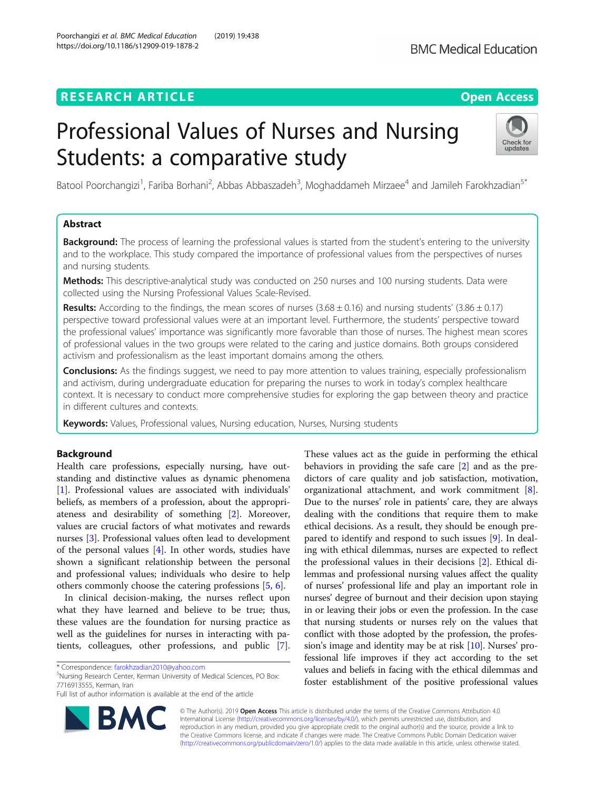# Professional Values of Nurses and Nursing Students: a comparative study

Batool Poorchangizi<sup>1</sup>, Fariba Borhani<sup>2</sup>, Abbas Abbaszadeh<sup>3</sup>, Moghaddameh Mirzaee<sup>4</sup> and Jamileh Farokhzadian<sup>5\*</sup>

## Abstract

**Background:** The process of learning the professional values is started from the student's entering to the university and to the workplace. This study compared the importance of professional values from the perspectives of nurses and nursing students.

Methods: This descriptive-analytical study was conducted on 250 nurses and 100 nursing students. Data were collected using the Nursing Professional Values Scale-Revised.

**Results:** According to the findings, the mean scores of nurses  $(3.68 \pm 0.16)$  and nursing students'  $(3.86 \pm 0.17)$ perspective toward professional values were at an important level. Furthermore, the students' perspective toward the professional values' importance was significantly more favorable than those of nurses. The highest mean scores of professional values in the two groups were related to the caring and justice domains. Both groups considered activism and professionalism as the least important domains among the others.

Conclusions: As the findings suggest, we need to pay more attention to values training, especially professionalism and activism, during undergraduate education for preparing the nurses to work in today's complex healthcare context. It is necessary to conduct more comprehensive studies for exploring the gap between theory and practice in different cultures and contexts.

Keywords: Values, Professional values, Nursing education, Nurses, Nursing students

## Background

Health care professions, especially nursing, have outstanding and distinctive values as dynamic phenomena [[1\]](#page-6-0). Professional values are associated with individuals' beliefs, as members of a profession, about the appropriateness and desirability of something [[2\]](#page-6-0). Moreover, values are crucial factors of what motivates and rewards nurses [\[3](#page-6-0)]. Professional values often lead to development of the personal values [\[4](#page-6-0)]. In other words, studies have shown a significant relationship between the personal and professional values; individuals who desire to help others commonly choose the catering professions [[5,](#page-6-0) [6\]](#page-6-0).

In clinical decision-making, the nurses reflect upon what they have learned and believe to be true; thus, these values are the foundation for nursing practice as well as the guidelines for nurses in interacting with patients, colleagues, other professions, and public [\[7](#page-6-0)].

Nursing Research Center, Kerman University of Medical Sciences, PO Box: 7716913555, Kerman, Iran

the professional values in their decisions [\[2](#page-6-0)]. Ethical dilemmas and professional nursing values affect the quality of nurses' professional life and play an important role in nurses' degree of burnout and their decision upon staying in or leaving their jobs or even the profession. In the case that nursing students or nurses rely on the values that conflict with those adopted by the profession, the profession's image and identity may be at risk [[10](#page-6-0)]. Nurses' professional life improves if they act according to the set values and beliefs in facing with the ethical dilemmas and foster establishment of the positive professional values © The Author(s). 2019 Open Access This article is distributed under the terms of the Creative Commons Attribution 4.0

These values act as the guide in performing the ethical behaviors in providing the safe care [\[2\]](#page-6-0) and as the predictors of care quality and job satisfaction, motivation, organizational attachment, and work commitment [\[8](#page-6-0)]. Due to the nurses' role in patients' care, they are always dealing with the conditions that require them to make ethical decisions. As a result, they should be enough prepared to identify and respond to such issues [\[9](#page-6-0)]. In dealing with ethical dilemmas, nurses are expected to reflect

International License [\(http://creativecommons.org/licenses/by/4.0/](http://creativecommons.org/licenses/by/4.0/)), which permits unrestricted use, distribution, and reproduction in any medium, provided you give appropriate credit to the original author(s) and the source, provide a link to the Creative Commons license, and indicate if changes were made. The Creative Commons Public Domain Dedication waiver [\(http://creativecommons.org/publicdomain/zero/1.0/](http://creativecommons.org/publicdomain/zero/1.0/)) applies to the data made available in this article, unless otherwise stated.





<sup>\*</sup> Correspondence: [farokhzadian2010@yahoo.com](mailto:farokhzadian2010@yahoo.com) <sup>5</sup>

Full list of author information is available at the end of the article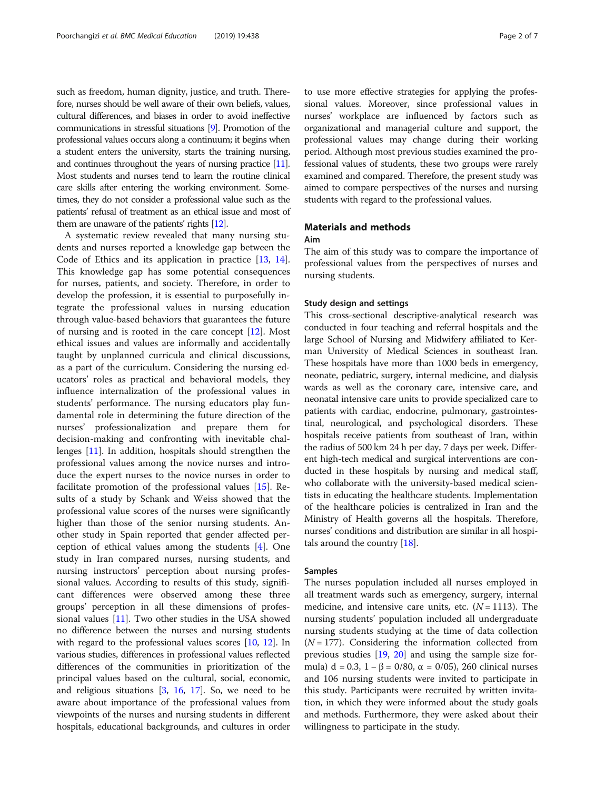such as freedom, human dignity, justice, and truth. Therefore, nurses should be well aware of their own beliefs, values, cultural differences, and biases in order to avoid ineffective communications in stressful situations [[9](#page-6-0)]. Promotion of the professional values occurs along a continuum; it begins when a student enters the university, starts the training nursing, and continues throughout the years of nursing practice [\[11\]](#page-6-0). Most students and nurses tend to learn the routine clinical care skills after entering the working environment. Sometimes, they do not consider a professional value such as the patients' refusal of treatment as an ethical issue and most of them are unaware of the patients' rights [\[12\]](#page-6-0).

A systematic review revealed that many nursing students and nurses reported a knowledge gap between the Code of Ethics and its application in practice [\[13,](#page-6-0) [14](#page-6-0)]. This knowledge gap has some potential consequences for nurses, patients, and society. Therefore, in order to develop the profession, it is essential to purposefully integrate the professional values in nursing education through value-based behaviors that guarantees the future of nursing and is rooted in the care concept [\[12](#page-6-0)]. Most ethical issues and values are informally and accidentally taught by unplanned curricula and clinical discussions, as a part of the curriculum. Considering the nursing educators' roles as practical and behavioral models, they influence internalization of the professional values in students' performance. The nursing educators play fundamental role in determining the future direction of the nurses' professionalization and prepare them for decision-making and confronting with inevitable challenges [[11\]](#page-6-0). In addition, hospitals should strengthen the professional values among the novice nurses and introduce the expert nurses to the novice nurses in order to facilitate promotion of the professional values [\[15](#page-6-0)]. Results of a study by Schank and Weiss showed that the professional value scores of the nurses were significantly higher than those of the senior nursing students. Another study in Spain reported that gender affected perception of ethical values among the students [\[4\]](#page-6-0). One study in Iran compared nurses, nursing students, and nursing instructors' perception about nursing professional values. According to results of this study, significant differences were observed among these three groups' perception in all these dimensions of professional values [[11\]](#page-6-0). Two other studies in the USA showed no difference between the nurses and nursing students with regard to the professional values scores [[10](#page-6-0), [12\]](#page-6-0). In various studies, differences in professional values reflected differences of the communities in prioritization of the principal values based on the cultural, social, economic, and religious situations  $[3, 16, 17]$  $[3, 16, 17]$  $[3, 16, 17]$  $[3, 16, 17]$  $[3, 16, 17]$  $[3, 16, 17]$ . So, we need to be aware about importance of the professional values from viewpoints of the nurses and nursing students in different hospitals, educational backgrounds, and cultures in order

to use more effective strategies for applying the professional values. Moreover, since professional values in nurses' workplace are influenced by factors such as organizational and managerial culture and support, the professional values may change during their working period. Although most previous studies examined the professional values of students, these two groups were rarely examined and compared. Therefore, the present study was aimed to compare perspectives of the nurses and nursing students with regard to the professional values.

## Materials and methods

## Aim

The aim of this study was to compare the importance of professional values from the perspectives of nurses and nursing students.

## Study design and settings

This cross-sectional descriptive-analytical research was conducted in four teaching and referral hospitals and the large School of Nursing and Midwifery affiliated to Kerman University of Medical Sciences in southeast Iran. These hospitals have more than 1000 beds in emergency, neonate, pediatric, surgery, internal medicine, and dialysis wards as well as the coronary care, intensive care, and neonatal intensive care units to provide specialized care to patients with cardiac, endocrine, pulmonary, gastrointestinal, neurological, and psychological disorders. These hospitals receive patients from southeast of Iran, within the radius of 500 km 24 h per day, 7 days per week. Different high-tech medical and surgical interventions are conducted in these hospitals by nursing and medical staff, who collaborate with the university-based medical scientists in educating the healthcare students. Implementation of the healthcare policies is centralized in Iran and the Ministry of Health governs all the hospitals. Therefore, nurses' conditions and distribution are similar in all hospitals around the country [\[18\]](#page-6-0).

## Samples

The nurses population included all nurses employed in all treatment wards such as emergency, surgery, internal medicine, and intensive care units, etc.  $(N = 1113)$ . The nursing students' population included all undergraduate nursing students studying at the time of data collection  $(N = 177)$ . Considering the information collected from previous studies [\[19](#page-6-0), [20\]](#page-6-0) and using the sample size formula) d = 0.3, 1 − β = 0/80, α = 0/05), 260 clinical nurses and 106 nursing students were invited to participate in this study. Participants were recruited by written invitation, in which they were informed about the study goals and methods. Furthermore, they were asked about their willingness to participate in the study.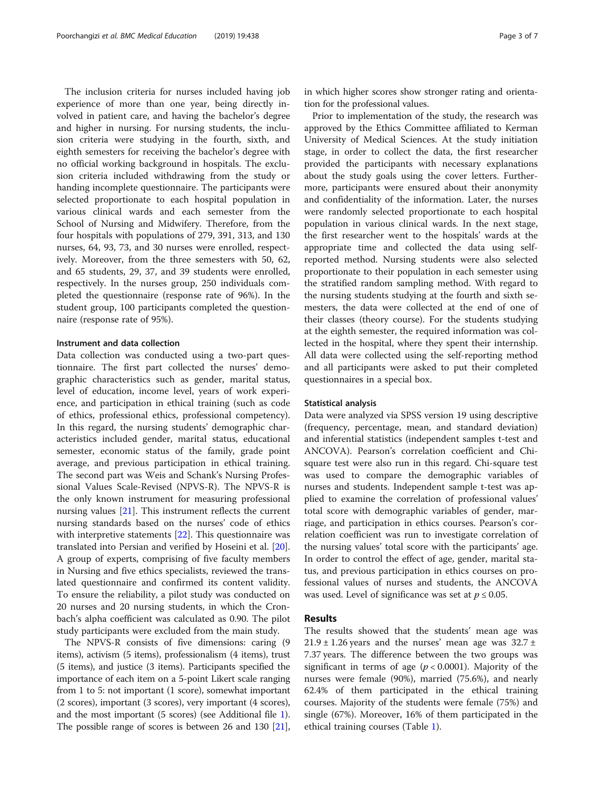The inclusion criteria for nurses included having job experience of more than one year, being directly involved in patient care, and having the bachelor's degree and higher in nursing. For nursing students, the inclusion criteria were studying in the fourth, sixth, and eighth semesters for receiving the bachelor's degree with no official working background in hospitals. The exclusion criteria included withdrawing from the study or handing incomplete questionnaire. The participants were selected proportionate to each hospital population in various clinical wards and each semester from the School of Nursing and Midwifery. Therefore, from the four hospitals with populations of 279, 391, 313, and 130 nurses, 64, 93, 73, and 30 nurses were enrolled, respectively. Moreover, from the three semesters with 50, 62, and 65 students, 29, 37, and 39 students were enrolled, respectively. In the nurses group, 250 individuals completed the questionnaire (response rate of 96%). In the student group, 100 participants completed the questionnaire (response rate of 95%).

## Instrument and data collection

Data collection was conducted using a two-part questionnaire. The first part collected the nurses' demographic characteristics such as gender, marital status, level of education, income level, years of work experience, and participation in ethical training (such as code of ethics, professional ethics, professional competency). In this regard, the nursing students' demographic characteristics included gender, marital status, educational semester, economic status of the family, grade point average, and previous participation in ethical training. The second part was Weis and Schank's Nursing Professional Values Scale-Revised (NPVS-R). The NPVS-R is the only known instrument for measuring professional nursing values [[21](#page-6-0)]. This instrument reflects the current nursing standards based on the nurses' code of ethics with interpretive statements [[22\]](#page-6-0). This questionnaire was translated into Persian and verified by Hoseini et al. [\[20](#page-6-0)]. A group of experts, comprising of five faculty members in Nursing and five ethics specialists, reviewed the translated questionnaire and confirmed its content validity. To ensure the reliability, a pilot study was conducted on 20 nurses and 20 nursing students, in which the Cronbach's alpha coefficient was calculated as 0.90. The pilot study participants were excluded from the main study.

The NPVS-R consists of five dimensions: caring (9 items), activism (5 items), professionalism (4 items), trust (5 items), and justice (3 items). Participants specified the importance of each item on a 5-point Likert scale ranging from 1 to 5: not important (1 score), somewhat important (2 scores), important (3 scores), very important (4 scores), and the most important (5 scores) (see Additional file [1](#page-5-0)). The possible range of scores is between 26 and 130 [[21](#page-6-0)], in which higher scores show stronger rating and orientation for the professional values.

Prior to implementation of the study, the research was approved by the Ethics Committee affiliated to Kerman University of Medical Sciences. At the study initiation stage, in order to collect the data, the first researcher provided the participants with necessary explanations about the study goals using the cover letters. Furthermore, participants were ensured about their anonymity and confidentiality of the information. Later, the nurses were randomly selected proportionate to each hospital population in various clinical wards. In the next stage, the first researcher went to the hospitals' wards at the appropriate time and collected the data using selfreported method. Nursing students were also selected proportionate to their population in each semester using the stratified random sampling method. With regard to the nursing students studying at the fourth and sixth semesters, the data were collected at the end of one of their classes (theory course). For the students studying at the eighth semester, the required information was collected in the hospital, where they spent their internship. All data were collected using the self-reporting method and all participants were asked to put their completed questionnaires in a special box.

## Statistical analysis

Data were analyzed via SPSS version 19 using descriptive (frequency, percentage, mean, and standard deviation) and inferential statistics (independent samples t-test and ANCOVA). Pearson's correlation coefficient and Chisquare test were also run in this regard. Chi-square test was used to compare the demographic variables of nurses and students. Independent sample t-test was applied to examine the correlation of professional values' total score with demographic variables of gender, marriage, and participation in ethics courses. Pearson's correlation coefficient was run to investigate correlation of the nursing values' total score with the participants' age. In order to control the effect of age, gender, marital status, and previous participation in ethics courses on professional values of nurses and students, the ANCOVA was used. Level of significance was set at  $p \leq 0.05$ .

## Results

The results showed that the students' mean age was  $21.9 \pm 1.26$  years and the nurses' mean age was  $32.7 \pm 1.26$ 7.37 years. The difference between the two groups was significant in terms of age ( $p < 0.0001$ ). Majority of the nurses were female (90%), married (75.6%), and nearly 62.4% of them participated in the ethical training courses. Majority of the students were female (75%) and single (67%). Moreover, 16% of them participated in the ethical training courses (Table [1\)](#page-3-0).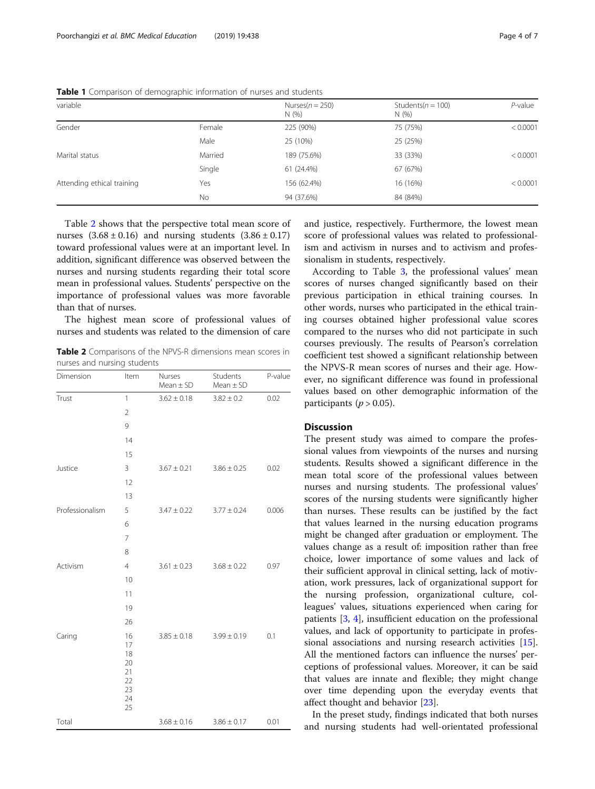| variable                   |           | Nurses $(n = 250)$<br>N(% | Students( $n = 100$ )<br>N(%) | $P$ -value |
|----------------------------|-----------|---------------------------|-------------------------------|------------|
| Gender                     | Female    | 225 (90%)                 | 75 (75%)                      | < 0.0001   |
|                            | Male      | 25 (10%)                  | 25 (25%)                      |            |
| Marital status             | Married   | 189 (75.6%)               | 33 (33%)                      | < 0.0001   |
|                            | Single    | 61 (24.4%)                | 67 (67%)                      |            |
| Attending ethical training | Yes       | 156 (62.4%)               | 16 (16%)                      | < 0.0001   |
|                            | <b>No</b> | 94 (37.6%)                | 84 (84%)                      |            |

<span id="page-3-0"></span>Table 1 Comparison of demographic information of nurses and students

Table 2 shows that the perspective total mean score of nurses  $(3.68 \pm 0.16)$  and nursing students  $(3.86 \pm 0.17)$ toward professional values were at an important level. In addition, significant difference was observed between the nurses and nursing students regarding their total score mean in professional values. Students' perspective on the importance of professional values was more favorable than that of nurses.

The highest mean score of professional values of nurses and students was related to the dimension of care

Table 2 Comparisons of the NPVS-R dimensions mean scores in nurses and nursing students

| Dimension       | Item                                               | Nurses<br>$Mean \pm SD$ | Students<br>$Mean \pm SD$ | P-value |
|-----------------|----------------------------------------------------|-------------------------|---------------------------|---------|
| Trust           | 1                                                  | $3.62 \pm 0.18$         | $3.82 \pm 0.2$            | 0.02    |
|                 | $\overline{2}$                                     |                         |                           |         |
|                 | 9                                                  |                         |                           |         |
|                 | 14                                                 |                         |                           |         |
|                 | 15                                                 |                         |                           |         |
| Justice         | 3                                                  | $3.67 \pm 0.21$         | $3.86 \pm 0.25$           | 0.02    |
|                 | 12                                                 |                         |                           |         |
|                 | 13                                                 |                         |                           |         |
| Professionalism | 5                                                  | $3.47 \pm 0.22$         | $3.77 \pm 0.24$           | 0.006   |
|                 | 6                                                  |                         |                           |         |
|                 | $\overline{7}$                                     |                         |                           |         |
|                 | 8                                                  |                         |                           |         |
| Activism        | $\overline{4}$                                     | $3.61 \pm 0.23$         | $3.68 \pm 0.22$           | 0.97    |
|                 | 10                                                 |                         |                           |         |
|                 | 11                                                 |                         |                           |         |
|                 | 19                                                 |                         |                           |         |
|                 | 26                                                 |                         |                           |         |
| Caring          | 16<br>17<br>18<br>20<br>21<br>22<br>23<br>24<br>25 | $3.85 \pm 0.18$         | $3.99 \pm 0.19$           | 0.1     |
| Total           |                                                    | $3.68 \pm 0.16$         | $3.86 \pm 0.17$           | 0.01    |

and justice, respectively. Furthermore, the lowest mean score of professional values was related to professionalism and activism in nurses and to activism and professionalism in students, respectively.

According to Table [3,](#page-4-0) the professional values' mean scores of nurses changed significantly based on their previous participation in ethical training courses. In other words, nurses who participated in the ethical training courses obtained higher professional value scores compared to the nurses who did not participate in such courses previously. The results of Pearson's correlation coefficient test showed a significant relationship between the NPVS-R mean scores of nurses and their age. However, no significant difference was found in professional values based on other demographic information of the participants ( $p > 0.05$ ).

## Discussion

The present study was aimed to compare the professional values from viewpoints of the nurses and nursing students. Results showed a significant difference in the mean total score of the professional values between nurses and nursing students. The professional values' scores of the nursing students were significantly higher than nurses. These results can be justified by the fact that values learned in the nursing education programs might be changed after graduation or employment. The values change as a result of: imposition rather than free choice, lower importance of some values and lack of their sufficient approval in clinical setting, lack of motivation, work pressures, lack of organizational support for the nursing profession, organizational culture, colleagues' values, situations experienced when caring for patients [\[3](#page-6-0), [4\]](#page-6-0), insufficient education on the professional values, and lack of opportunity to participate in professional associations and nursing research activities [\[15](#page-6-0)]. All the mentioned factors can influence the nurses' perceptions of professional values. Moreover, it can be said that values are innate and flexible; they might change over time depending upon the everyday events that affect thought and behavior [[23\]](#page-6-0).

In the preset study, findings indicated that both nurses and nursing students had well-orientated professional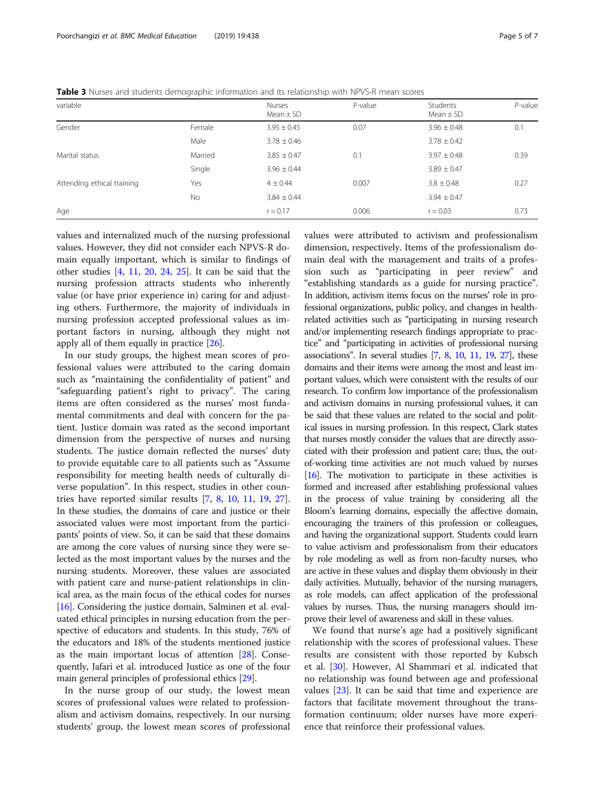| variable                   |         | <b>Nurses</b><br>Mean $\pm$ SD | P-value | Students<br>Mean $\pm$ SD | P-value |  |  |  |  |
|----------------------------|---------|--------------------------------|---------|---------------------------|---------|--|--|--|--|
| Gender                     | Female  | $3.95 \pm 0.45$                | 0.07    | $3.96 \pm 0.48$           | 0.1     |  |  |  |  |
|                            | Male    | $3.78 \pm 0.46$                |         | $3.78 \pm 0.42$           |         |  |  |  |  |
| Marital status             | Married | $3.85 \pm 0.47$                | 0.1     | $3.97 \pm 0.48$           | 0.39    |  |  |  |  |
|                            | Single  | $3.96 \pm 0.44$                |         | $3.89 \pm 0.47$           |         |  |  |  |  |
| Attending ethical training | Yes     | $4 \pm 0.44$                   | 0.007   | $3.8 \pm 0.48$            | 0.27    |  |  |  |  |
|                            | No      | $3.84 \pm 0.44$                |         | $3.94 \pm 0.47$           |         |  |  |  |  |
| Age                        |         | $r = 0.17$                     | 0.006   | $r = 0.03$                | 0.73    |  |  |  |  |

<span id="page-4-0"></span>Table 3 Nurses and students demographic information and its relationship with NPVS-R mean scores

values and internalized much of the nursing professional values. However, they did not consider each NPVS-R domain equally important, which is similar to findings of other studies [[4,](#page-6-0) [11,](#page-6-0) [20](#page-6-0), [24](#page-6-0), [25](#page-6-0)]. It can be said that the nursing profession attracts students who inherently value (or have prior experience in) caring for and adjusting others. Furthermore, the majority of individuals in nursing profession accepted professional values as important factors in nursing, although they might not apply all of them equally in practice [[26\]](#page-6-0).

In our study groups, the highest mean scores of professional values were attributed to the caring domain such as "maintaining the confidentiality of patient" and "safeguarding patient's right to privacy". The caring items are often considered as the nurses' most fundamental commitments and deal with concern for the patient. Justice domain was rated as the second important dimension from the perspective of nurses and nursing students. The justice domain reflected the nurses' duty to provide equitable care to all patients such as "Assume responsibility for meeting health needs of culturally diverse population". In this respect, studies in other countries have reported similar results [\[7](#page-6-0), [8](#page-6-0), [10](#page-6-0), [11](#page-6-0), [19](#page-6-0), [27](#page-6-0)]. In these studies, the domains of care and justice or their associated values were most important from the participants' points of view. So, it can be said that these domains are among the core values of nursing since they were selected as the most important values by the nurses and the nursing students. Moreover, these values are associated with patient care and nurse-patient relationships in clinical area, as the main focus of the ethical codes for nurses [[16](#page-6-0)]. Considering the justice domain, Salminen et al. evaluated ethical principles in nursing education from the perspective of educators and students. In this study, 76% of the educators and 18% of the students mentioned justice as the main important locus of attention [\[28\]](#page-6-0). Consequently, Jafari et al. introduced Justice as one of the four main general principles of professional ethics [\[29\]](#page-6-0).

In the nurse group of our study, the lowest mean scores of professional values were related to professionalism and activism domains, respectively. In our nursing students' group, the lowest mean scores of professional values were attributed to activism and professionalism dimension, respectively. Items of the professionalism domain deal with the management and traits of a profession such as "participating in peer review" and "establishing standards as a guide for nursing practice". In addition, activism items focus on the nurses' role in professional organizations, public policy, and changes in healthrelated activities such as "participating in nursing research and/or implementing research findings appropriate to practice" and "participating in activities of professional nursing associations". In several studies [\[7](#page-6-0), [8,](#page-6-0) [10,](#page-6-0) [11,](#page-6-0) [19,](#page-6-0) [27\]](#page-6-0), these domains and their items were among the most and least important values, which were consistent with the results of our research. To confirm low importance of the professionalism and activism domains in nursing professional values, it can be said that these values are related to the social and political issues in nursing profession. In this respect, Clark states that nurses mostly consider the values that are directly associated with their profession and patient care; thus, the outof-working time activities are not much valued by nurses [[16\]](#page-6-0). The motivation to participate in these activities is formed and increased after establishing professional values in the process of value training by considering all the Bloom's learning domains, especially the affective domain, encouraging the trainers of this profession or colleagues, and having the organizational support. Students could learn to value activism and professionalism from their educators by role modeling as well as from non-faculty nurses, who are active in these values and display them obviously in their daily activities. Mutually, behavior of the nursing managers, as role models, can affect application of the professional values by nurses. Thus, the nursing managers should improve their level of awareness and skill in these values.

We found that nurse's age had a positively significant relationship with the scores of professional values. These results are consistent with those reported by Kubsch et al. [\[30](#page-6-0)]. However, Al Shammari et al. indicated that no relationship was found between age and professional values [[23\]](#page-6-0). It can be said that time and experience are factors that facilitate movement throughout the transformation continuum; older nurses have more experience that reinforce their professional values.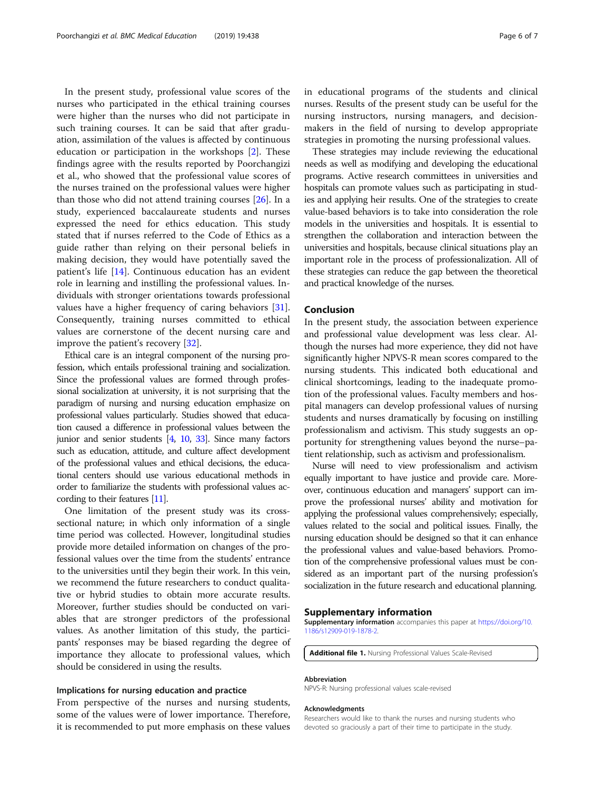<span id="page-5-0"></span>In the present study, professional value scores of the nurses who participated in the ethical training courses were higher than the nurses who did not participate in such training courses. It can be said that after graduation, assimilation of the values is affected by continuous education or participation in the workshops [\[2](#page-6-0)]. These findings agree with the results reported by Poorchangizi et al., who showed that the professional value scores of the nurses trained on the professional values were higher than those who did not attend training courses [\[26](#page-6-0)]. In a study, experienced baccalaureate students and nurses expressed the need for ethics education. This study stated that if nurses referred to the Code of Ethics as a guide rather than relying on their personal beliefs in making decision, they would have potentially saved the patient's life [\[14](#page-6-0)]. Continuous education has an evident role in learning and instilling the professional values. Individuals with stronger orientations towards professional values have a higher frequency of caring behaviors [\[31](#page-6-0)]. Consequently, training nurses committed to ethical values are cornerstone of the decent nursing care and improve the patient's recovery [[32\]](#page-6-0).

Ethical care is an integral component of the nursing profession, which entails professional training and socialization. Since the professional values are formed through professional socialization at university, it is not surprising that the paradigm of nursing and nursing education emphasize on professional values particularly. Studies showed that education caused a difference in professional values between the junior and senior students [[4](#page-6-0), [10,](#page-6-0) [33](#page-6-0)]. Since many factors such as education, attitude, and culture affect development of the professional values and ethical decisions, the educational centers should use various educational methods in order to familiarize the students with professional values according to their features [\[11\]](#page-6-0).

One limitation of the present study was its crosssectional nature; in which only information of a single time period was collected. However, longitudinal studies provide more detailed information on changes of the professional values over the time from the students' entrance to the universities until they begin their work. In this vein, we recommend the future researchers to conduct qualitative or hybrid studies to obtain more accurate results. Moreover, further studies should be conducted on variables that are stronger predictors of the professional values. As another limitation of this study, the participants' responses may be biased regarding the degree of importance they allocate to professional values, which should be considered in using the results.

## Implications for nursing education and practice

From perspective of the nurses and nursing students, some of the values were of lower importance. Therefore, it is recommended to put more emphasis on these values in educational programs of the students and clinical nurses. Results of the present study can be useful for the nursing instructors, nursing managers, and decisionmakers in the field of nursing to develop appropriate strategies in promoting the nursing professional values.

These strategies may include reviewing the educational needs as well as modifying and developing the educational programs. Active research committees in universities and hospitals can promote values such as participating in studies and applying heir results. One of the strategies to create value-based behaviors is to take into consideration the role models in the universities and hospitals. It is essential to strengthen the collaboration and interaction between the universities and hospitals, because clinical situations play an important role in the process of professionalization. All of these strategies can reduce the gap between the theoretical and practical knowledge of the nurses.

## Conclusion

In the present study, the association between experience and professional value development was less clear. Although the nurses had more experience, they did not have significantly higher NPVS-R mean scores compared to the nursing students. This indicated both educational and clinical shortcomings, leading to the inadequate promotion of the professional values. Faculty members and hospital managers can develop professional values of nursing students and nurses dramatically by focusing on instilling professionalism and activism. This study suggests an opportunity for strengthening values beyond the nurse–patient relationship, such as activism and professionalism.

Nurse will need to view professionalism and activism equally important to have justice and provide care. Moreover, continuous education and managers' support can improve the professional nurses' ability and motivation for applying the professional values comprehensively; especially, values related to the social and political issues. Finally, the nursing education should be designed so that it can enhance the professional values and value-based behaviors. Promotion of the comprehensive professional values must be considered as an important part of the nursing profession's socialization in the future research and educational planning.

## Supplementary information

Supplementary information accompanies this paper at [https://doi.org/10.](https://doi.org/10.1186/s12909-019-1878-2) [1186/s12909-019-1878-2.](https://doi.org/10.1186/s12909-019-1878-2)

Additional file 1. Nursing Professional Values Scale-Revised

### Abbreviation

NPVS-R: Nursing professional values scale-revised

## Acknowledgments

Researchers would like to thank the nurses and nursing students who devoted so graciously a part of their time to participate in the study.